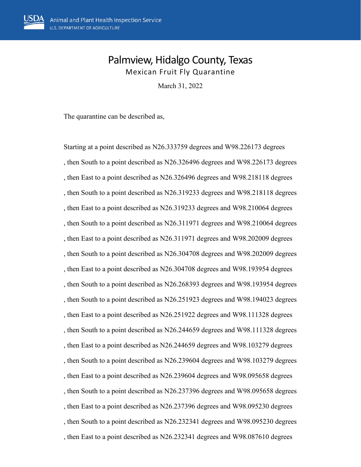## Palmview, Hidalgo County, Texas Mexican Fruit Fly Quarantine

March 31, 2022

The quarantine can be described as,

Starting at a point described as N26.333759 degrees and W98.226173 degrees , then South to a point described as N26.326496 degrees and W98.226173 degrees , then East to a point described as N26.326496 degrees and W98.218118 degrees , then South to a point described as N26.319233 degrees and W98.218118 degrees , then East to a point described as N26.319233 degrees and W98.210064 degrees , then South to a point described as N26.311971 degrees and W98.210064 degrees , then East to a point described as N26.311971 degrees and W98.202009 degrees , then South to a point described as N26.304708 degrees and W98.202009 degrees , then East to a point described as N26.304708 degrees and W98.193954 degrees , then South to a point described as N26.268393 degrees and W98.193954 degrees , then South to a point described as N26.251923 degrees and W98.194023 degrees , then East to a point described as N26.251922 degrees and W98.111328 degrees , then South to a point described as N26.244659 degrees and W98.111328 degrees , then East to a point described as N26.244659 degrees and W98.103279 degrees , then South to a point described as N26.239604 degrees and W98.103279 degrees , then East to a point described as N26.239604 degrees and W98.095658 degrees , then South to a point described as N26.237396 degrees and W98.095658 degrees , then East to a point described as N26.237396 degrees and W98.095230 degrees , then South to a point described as N26.232341 degrees and W98.095230 degrees , then East to a point described as N26.232341 degrees and W98.087610 degrees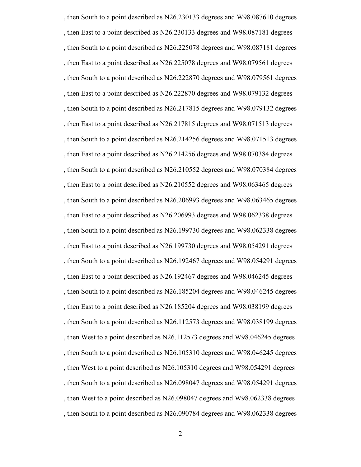, then South to a point described as N26.230133 degrees and W98.087610 degrees , then East to a point described as N26.230133 degrees and W98.087181 degrees , then South to a point described as N26.225078 degrees and W98.087181 degrees , then East to a point described as N26.225078 degrees and W98.079561 degrees , then South to a point described as N26.222870 degrees and W98.079561 degrees , then East to a point described as N26.222870 degrees and W98.079132 degrees , then South to a point described as N26.217815 degrees and W98.079132 degrees , then East to a point described as N26.217815 degrees and W98.071513 degrees , then South to a point described as N26.214256 degrees and W98.071513 degrees , then East to a point described as N26.214256 degrees and W98.070384 degrees , then South to a point described as N26.210552 degrees and W98.070384 degrees , then East to a point described as N26.210552 degrees and W98.063465 degrees , then South to a point described as N26.206993 degrees and W98.063465 degrees , then East to a point described as N26.206993 degrees and W98.062338 degrees , then South to a point described as N26.199730 degrees and W98.062338 degrees , then East to a point described as N26.199730 degrees and W98.054291 degrees , then South to a point described as N26.192467 degrees and W98.054291 degrees , then East to a point described as N26.192467 degrees and W98.046245 degrees , then South to a point described as N26.185204 degrees and W98.046245 degrees , then East to a point described as N26.185204 degrees and W98.038199 degrees , then South to a point described as N26.112573 degrees and W98.038199 degrees , then West to a point described as N26.112573 degrees and W98.046245 degrees , then South to a point described as N26.105310 degrees and W98.046245 degrees , then West to a point described as N26.105310 degrees and W98.054291 degrees , then South to a point described as N26.098047 degrees and W98.054291 degrees , then West to a point described as N26.098047 degrees and W98.062338 degrees , then South to a point described as N26.090784 degrees and W98.062338 degrees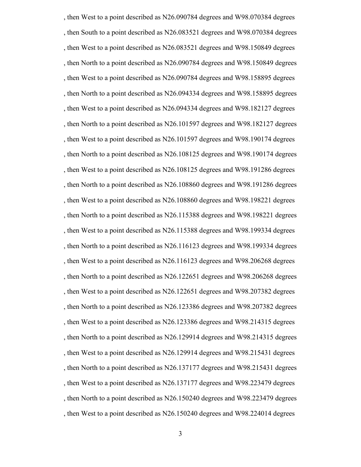, then West to a point described as N26.090784 degrees and W98.070384 degrees , then South to a point described as N26.083521 degrees and W98.070384 degrees , then West to a point described as N26.083521 degrees and W98.150849 degrees , then North to a point described as N26.090784 degrees and W98.150849 degrees , then West to a point described as N26.090784 degrees and W98.158895 degrees , then North to a point described as N26.094334 degrees and W98.158895 degrees , then West to a point described as N26.094334 degrees and W98.182127 degrees , then North to a point described as N26.101597 degrees and W98.182127 degrees , then West to a point described as N26.101597 degrees and W98.190174 degrees , then North to a point described as N26.108125 degrees and W98.190174 degrees , then West to a point described as N26.108125 degrees and W98.191286 degrees , then North to a point described as N26.108860 degrees and W98.191286 degrees , then West to a point described as N26.108860 degrees and W98.198221 degrees , then North to a point described as N26.115388 degrees and W98.198221 degrees , then West to a point described as N26.115388 degrees and W98.199334 degrees , then North to a point described as N26.116123 degrees and W98.199334 degrees , then West to a point described as N26.116123 degrees and W98.206268 degrees , then North to a point described as N26.122651 degrees and W98.206268 degrees , then West to a point described as N26.122651 degrees and W98.207382 degrees , then North to a point described as N26.123386 degrees and W98.207382 degrees , then West to a point described as N26.123386 degrees and W98.214315 degrees , then North to a point described as N26.129914 degrees and W98.214315 degrees , then West to a point described as N26.129914 degrees and W98.215431 degrees , then North to a point described as N26.137177 degrees and W98.215431 degrees , then West to a point described as N26.137177 degrees and W98.223479 degrees , then North to a point described as N26.150240 degrees and W98.223479 degrees , then West to a point described as N26.150240 degrees and W98.224014 degrees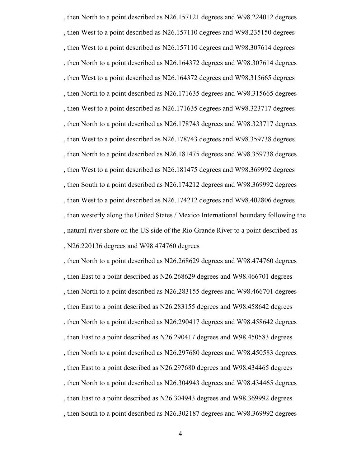, then North to a point described as N26.157121 degrees and W98.224012 degrees , then West to a point described as N26.157110 degrees and W98.235150 degrees , then West to a point described as N26.157110 degrees and W98.307614 degrees , then North to a point described as N26.164372 degrees and W98.307614 degrees , then West to a point described as N26.164372 degrees and W98.315665 degrees , then North to a point described as N26.171635 degrees and W98.315665 degrees , then West to a point described as N26.171635 degrees and W98.323717 degrees , then North to a point described as N26.178743 degrees and W98.323717 degrees , then West to a point described as N26.178743 degrees and W98.359738 degrees , then North to a point described as N26.181475 degrees and W98.359738 degrees , then West to a point described as N26.181475 degrees and W98.369992 degrees , then South to a point described as N26.174212 degrees and W98.369992 degrees , then West to a point described as N26.174212 degrees and W98.402806 degrees , then westerly along the United States / Mexico International boundary following the , natural river shore on the US side of the Rio Grande River to a point described as , N26.220136 degrees and W98.474760 degrees

, then North to a point described as N26.268629 degrees and W98.474760 degrees , then East to a point described as N26.268629 degrees and W98.466701 degrees , then North to a point described as N26.283155 degrees and W98.466701 degrees , then East to a point described as N26.283155 degrees and W98.458642 degrees , then North to a point described as N26.290417 degrees and W98.458642 degrees , then East to a point described as N26.290417 degrees and W98.450583 degrees , then North to a point described as N26.297680 degrees and W98.450583 degrees , then East to a point described as N26.297680 degrees and W98.434465 degrees , then North to a point described as N26.304943 degrees and W98.434465 degrees , then East to a point described as N26.304943 degrees and W98.369992 degrees , then South to a point described as N26.302187 degrees and W98.369992 degrees

4